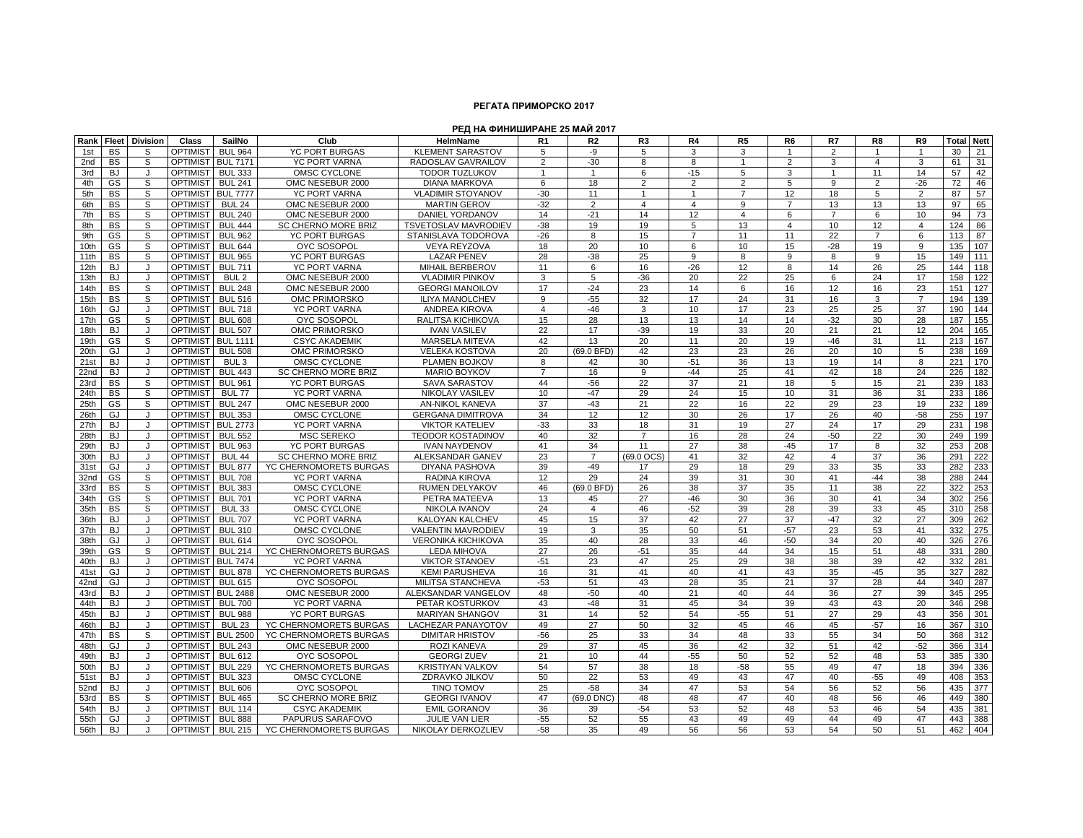## **РЕГАТА ПРИМОРСКО 2017**

## **РЕД НА ФИНИШИРАНЕ 25 МАЙ 2017**

| Rank       |           | <b>Fleet Division</b> | Class           | SailNo           | Club                       | HelmName                    | R <sub>1</sub> | R <sub>2</sub> | R <sub>3</sub> | R4             | R <sub>5</sub> | R <sub>6</sub> | R7             | R <sub>8</sub>          | R9             | <b>Total Nett</b> |          |
|------------|-----------|-----------------------|-----------------|------------------|----------------------------|-----------------------------|----------------|----------------|----------------|----------------|----------------|----------------|----------------|-------------------------|----------------|-------------------|----------|
|            | <b>BS</b> | S                     | <b>OPTIMIST</b> | <b>BUL 964</b>   | <b>YC PORT BURGAS</b>      | <b>KLEMENT SARASTOV</b>     | 5              |                |                | 3              | 3              | $\overline{1}$ | 2              | $\overline{\mathbf{1}}$ | $\mathbf{1}$   |                   |          |
| 1st<br>2nd | <b>BS</b> | S                     | <b>OPTIMIST</b> | <b>BUL 7171</b>  | <b>YC PORT VARNA</b>       | RADOSLAV GAVRAILOV          | $\overline{2}$ | -9<br>$-30$    | 5<br>8         | 8              | $\mathbf{1}$   | $\overline{2}$ | 3              | $\overline{4}$          | 3              | 30<br>61          | 21<br>31 |
|            |           | $\cdot$               | <b>OPTIMIST</b> |                  | OMSC CYCLONE               | <b>TODOR TUZLUKOV</b>       | $\mathbf{1}$   | $\overline{1}$ | 6              |                |                |                |                |                         | 14             | 57                |          |
| 3rd        | <b>BJ</b> | S                     |                 | <b>BUL 333</b>   |                            |                             |                | 18             |                | $-15$          | 5              | 3              |                | 11                      | $-26$          |                   | 42       |
| 4th        | GS        |                       | <b>OPTIMIST</b> | <b>BUL 241</b>   | OMC NESEBUR 2000           | <b>DIANA MARKOVA</b>        | 6              |                | 2              | 2              | $\overline{2}$ | 5              | 9              | $\overline{2}$          |                | 72                | 46       |
| 5th        | <b>BS</b> | S                     | <b>OPTIMIST</b> | <b>BUL 7777</b>  | <b>YC PORT VARNA</b>       | <b>VLADIMIR STOYANOV</b>    | $-30$          | 11             | $\mathbf{1}$   | $\overline{1}$ | $\overline{7}$ | 12             | 18             | 5                       | $\overline{2}$ | 87                | 57       |
| 6th        | BS        | S                     | <b>OPTIMIST</b> | <b>BUL 24</b>    | OMC NESEBUR 2000           | <b>MARTIN GEROV</b>         | $-32$          | $\overline{2}$ | $\overline{4}$ | $\overline{4}$ | 9              | $\overline{7}$ | 13             | 13                      | 13             | 97                | 65       |
| 7th        | <b>BS</b> | S                     | <b>OPTIMIST</b> | <b>BUL 240</b>   | OMC NESEBUR 2000           | <b>DANIEL YORDANOV</b>      | 14             | $-21$          | 14             | 12             | $\overline{4}$ | 6              | $\overline{7}$ | 6                       | 10             | 94                | 73       |
| 8th        | <b>BS</b> | S                     | <b>OPTIMIST</b> | <b>BUL 444</b>   | <b>SC CHERNO MORE BRIZ</b> | <b>TSVETOSLAV MAVRODIEV</b> | $-38$          | 19             | 19             | 5              | 13             | $\overline{4}$ | 10             | 12                      | $\overline{4}$ | 124               | 86       |
| 9th        | GS        | S                     | <b>OPTIMIST</b> | <b>BUL 962</b>   | <b>YC PORT BURGAS</b>      | STANISLAVA TODOROVA         | $-26$          | 8              | 15             | $\overline{7}$ | 11             | 11             | 22             | $\overline{7}$          | 6              | 113               | 87       |
| 10th       | GS        | s                     | <b>OPTIMIST</b> | <b>BUL 644</b>   | <b>OYC SOSOPOL</b>         | <b>VEYA REYZOVA</b>         | 18             | 20             | 10             | 6              | 10             | 15             | $-28$          | 19                      | 9              | 135               | 107      |
| 11th       | <b>BS</b> | S                     | <b>OPTIMIST</b> | <b>BUL 965</b>   | <b>YC PORT BURGAS</b>      | <b>LAZAR PENEV</b>          | 28             | $-38$          | 25             | 9              | 8              | 9              | 8              | 9                       | 15             | 149               | 111      |
| 12th       | <b>BJ</b> | J                     | <b>OPTIMIST</b> | <b>BUL 711</b>   | YC PORT VARNA              | MIHAIL BERBEROV             | 11             | 6              | 16             | $-26$          | 12             | 8              | 14             | 26                      | 25             | 144               | 118      |
| 13th       | <b>BJ</b> | $\cdot$               | <b>OPTIMIST</b> | BUL <sub>2</sub> | OMC NESEBUR 2000           | <b>VLADIMIR PINKOV</b>      | 3              | 5              | $-36$          | 20             | 22             | 25             | 6              | 24                      | 17             | 158               | 122      |
| 14th       | <b>BS</b> | S                     | <b>OPTIMIST</b> | <b>BUL 248</b>   | OMC NESEBUR 2000           | <b>GEORGI MANOILOV</b>      | 17             | $-24$          | 23             | 14             | 6              | 16             | 12             | 16                      | 23             | 151               | 127      |
| 15th       | <b>BS</b> | S                     | <b>OPTIMIST</b> | <b>BUL 516</b>   | OMC PRIMORSKO              | <b>ILIYA MANOLCHEV</b>      | 9              | $-55$          | 32             | 17             | 24             | 31             | 16             | 3                       | $\overline{7}$ | 194               | 139      |
| 16th       | GJ        |                       | <b>OPTIMIST</b> | <b>BUL 718</b>   | <b>YC PORT VARNA</b>       | <b>ANDREA KIROVA</b>        | 4              | $-46$          | 3              | 10             | 17             | 23             | 25             | 25                      | 37             | 190               | 144      |
| 17th       | GS        | S                     | <b>OPTIMIST</b> | <b>BUL 608</b>   | <b>OYC SOSOPOL</b>         | RALITSA KICHIKOVA           | 15             | 28             | 13             | 13             | 14             | 14             | $-32$          | 30                      | 28             | 187               | 155      |
| 18th       | <b>BJ</b> | J                     | <b>OPTIMIST</b> | <b>BUL 507</b>   | OMC PRIMORSKO              | <b>IVAN VASILEV</b>         | 22             | 17             | $-39$          | 19             | 33             | 20             | 21             | 21                      | 12             | 204               | 165      |
| 19th       | GS        | S                     | <b>OPTIMIST</b> | <b>BUL 1111</b>  | <b>CSYC AKADEMIK</b>       | <b>MARSELA MITEVA</b>       | 42             | 13             | 20             | 11             | 20             | 19             | $-46$          | 31                      | 11             | 213               | 167      |
| 20th       | GJ        | J                     | <b>OPTIMIST</b> | <b>BUL 508</b>   | OMC PRIMORSKO              | <b>VELEKA KOSTOVA</b>       | 20             | (69.0 BFD)     | 42             | 23             | 23             | 26             | 20             | 10                      | 5              | 238               | 169      |
| 21st       | BJ.       | Л.                    | <b>OPTIMIST</b> | BUL 3            | OMSC CYCLONE               | PLAMEN BOJKOV               | 8              | 42             | 30             | $-51$          | 36             | 13             | 19             | 14                      | 8              | 221               | 170      |
| 22nd       | <b>BJ</b> | J                     | <b>OPTIMIST</b> | <b>BUL 443</b>   | SC CHERNO MORE BRIZ        | <b>MARIO BOYKOV</b>         | $\overline{7}$ | 16             | 9              | $-44$          | 25             | 41             | 42             | 18                      | 24             | 226               | 182      |
| 23rd       | <b>BS</b> | S                     | <b>OPTIMIST</b> | <b>BUL 961</b>   | <b>YC PORT BURGAS</b>      | <b>SAVA SARASTOV</b>        | 44             | $-56$          | 22             | 37             | 21             | 18             | 5              | 15                      | 21             | 239               | 183      |
| 24th       | <b>BS</b> | S                     | <b>OPTIMIST</b> | <b>BUL 77</b>    | <b>YC PORT VARNA</b>       | <b>NIKOLAY VASILEV</b>      | 10             | $-47$          | 29             | 24             | 15             | 10             | 31             | 36                      | 31             | 233               | 186      |
| 25th       | GS        | s                     | <b>OPTIMIST</b> | <b>BUL 247</b>   | OMC NESEBUR 2000           | AN-NIKOL KANEVA             | 37             | $-43$          | 21             | 22             | 16             | 22             | 29             | 23                      | 19             | 232               | 189      |
| 26th       | GJ        | л                     | <b>OPTIMIST</b> | <b>BUL 353</b>   | OMSC CYCLONE               | <b>GERGANA DIMITROVA</b>    | 34             | 12             | 12             | 30             | 26             | 17             | 26             | 40                      | $-58$          | 255               | 197      |
| 27th       | <b>BJ</b> | J                     | <b>OPTIMIST</b> | <b>BUL 2773</b>  | YC PORT VARNA              | <b>VIKTOR KATELIEV</b>      | $-33$          | 33             | 18             | 31             | 19             | 27             | 24             | 17                      | 29             | 231               | 198      |
| 28th       | BJ.       | Л.                    | <b>OPTIMIST</b> | <b>BUL 552</b>   | <b>MSC SEREKO</b>          | <b>TEODOR KOSTADINOV</b>    | 40             | 32             | $\overline{7}$ | 16             | 28             | 24             | $-50$          | 22                      | 30             | 249               | 199      |
| 29th       | <b>BJ</b> |                       | <b>OPTIMIST</b> | <b>BUL 963</b>   | <b>YC PORT BURGAS</b>      | <b>IVAN NAYDENOV</b>        | 41             | 34             | 11             | 27             | 38             | $-45$          | 17             | 8                       | 32             | 253               | 208      |
| 30th       | <b>BJ</b> | J.                    | <b>OPTIMIST</b> | <b>BUL 44</b>    | SC CHERNO MORE BRIZ        | <b>ALEKSANDAR GANEV</b>     | 23             | $\overline{7}$ | (69.0 OCS)     | 41             | 32             | 42             | $\overline{4}$ | 37                      | 36             | 291               | 222      |
| 31st       | GJ        | J                     | <b>OPTIMIST</b> | <b>BUL 877</b>   | YC CHERNOMORETS BURGAS     | DIYANA PASHOVA              | 39             | $-49$          | 17             | 29             | 18             | 29             | 33             | 35                      | 33             | 282               | 233      |
| 32nd       | GS        | S                     | <b>OPTIMIST</b> | <b>BUL 708</b>   | YC PORT VARNA              | RADINA KIROVA               | 12             | 29             | 24             | 39             | 31             | 30             | 41             | $-44$                   | 38             | 288               | 244      |
| 33rd       | <b>BS</b> | S                     | <b>OPTIMIST</b> | <b>BUL 383</b>   | OMSC CYCLONE               | <b>RUMEN DELYAKOV</b>       | 46             | (69.0 BFD)     | 26             | 38             | 37             | 35             | 11             | 38                      | 22             | 322               | 253      |
| 34th       | GS        | S                     | <b>OPTIMIST</b> | <b>BUL 701</b>   | <b>YC PORT VARNA</b>       | PETRA MATEEVA               | 13             | 45             | 27             | $-46$          | 30             | 36             | 30             | 41                      | 34             | 302               | 256      |
| 35th       | <b>BS</b> | S                     | <b>OPTIMIST</b> | <b>BUL 33</b>    | OMSC CYCLONE               | NIKOLA IVANOV               | 24             | $\overline{4}$ | 46             | $-52$          | 39             | 28             | 39             | 33                      | 45             |                   | 310 258  |
| 36th       | <b>BJ</b> | $\cdot$               | <b>OPTIMIST</b> | <b>BUL 707</b>   | <b>YC PORT VARNA</b>       | KALOYAN KALCHEV             | 45             | 15             | 37             | 42             | 27             | 37             | $-47$          | 32                      | 27             | 309               | 262      |
| 37th       | <b>BJ</b> | J                     | <b>OPTIMIST</b> | <b>BUL 310</b>   | OMSC CYCLONE               | VALENTIN MAVRODIE\          | 19             | 3              | 35             | 50             | 51             | $-57$          | 23             | 53                      | 41             | 332               | 275      |
| 38th       | GJ        | Л.                    | <b>OPTIMIST</b> | <b>BUL 614</b>   | <b>OYC SOSOPOL</b>         | <b>VERONIKA KICHIKOVA</b>   | 35             | 40             | 28             | 33             | 46             | $-50$          | 34             | 20                      | 40             | 326               | 276      |
| 39th       | GS        | S                     | <b>OPTIMIST</b> | <b>BUL 214</b>   | YC CHERNOMORETS BURGAS     | <b>LEDA MIHOVA</b>          | 27             | 26             | $-51$          | 35             | 44             | 34             | 15             | 51                      | 48             | 331               | 280      |
| 40th       | <b>BJ</b> | J                     | <b>OPTIMIST</b> | <b>BUL 7474</b>  | <b>YC PORT VARNA</b>       | <b>VIKTOR STANOEV</b>       | $-51$          | 23             | 47             | 25             | 29             | 38             | 38             | 39                      | 42             | 332               | 281      |
| 41st       | GJ        | J                     | <b>OPTIMIST</b> | <b>BUL 878</b>   | YC CHERNOMORETS BURGAS     | <b>KEMI PARUSHEVA</b>       | 16             | 31             | 41             | 40             | 41             | 43             | 35             | $-45$                   | 35             | 327               | 282      |
| 42nd       | GJ.       |                       | <b>OPTIMIST</b> | <b>BUL 615</b>   | <b>OYC SOSOPOL</b>         | MILITSA STANCHEVA           | $-53$          | 51             | 43             | 28             | 35             | 21             | 37             | 28                      | 44             | 340               | 287      |
| 43rd       | <b>BJ</b> | Л.                    | <b>OPTIMIST</b> | <b>BUL 2488</b>  | OMC NESEBUR 2000           | ALEKSANDAR VANGELOV         | 48             | $-50$          | 40             | 21             | 40             | 44             | 36             | 27                      | 39             | 345               | 295      |
| 44th       | <b>BJ</b> | Л.                    | <b>OPTIMIST</b> | <b>BUL 700</b>   | YC PORT VARNA              | PETAR KOSTURKOV             | 43             | $-48$          | 31             | 45             | 34             | 39             | 43             | 43                      | 20             | 346               | 298      |
| 45th       | <b>BJ</b> | $\cdot$               | <b>OPTIMIST</b> | <b>BUL 988</b>   | <b>YC PORT BURGAS</b>      | <b>MARIYAN SHANGOV</b>      | 31             | 14             | 52             | 54             | $-55$          | 51             | 27             | 29                      | 43             | 356               | 301      |
| 46th       | <b>BJ</b> |                       | <b>OPTIMIST</b> | <b>BUL 23</b>    | YC CHERNOMORETS BURGAS     | <b>LACHEZAR PANAYOTOV</b>   | 49             | 27             | 50             | 32             | 45             | 46             | 45             | $-57$                   | 16             | 367               | 310      |
| 47th       | <b>BS</b> | S                     | <b>OPTIMIST</b> | <b>BUL 2500</b>  | YC CHERNOMORETS BURGAS     | <b>DIMITAR HRISTOV</b>      | $-56$          | 25             | 33             | 34             | 48             | 33             | 55             | 34                      | 50             | 368               | 312      |
| 48th       | GJ        | J                     | <b>OPTIMIST</b> | <b>BUL 243</b>   | OMC NESEBUR 2000           | ROZI KANEVA                 | 29             | 37             | 45             | 36             | 42             | 32             | 51             | 42                      | $-52$          | 366               | 314      |
| 49th       | BJ        | J                     | <b>OPTIMIST</b> | <b>BUL 612</b>   | <b>OYC SOSOPOL</b>         | <b>GEORGI ZUEV</b>          | 21             | 10             | 44             | $-55$          | 50             | 52             | 52             | 48                      | 53             | 385               | 330      |
| 50th       | <b>BJ</b> |                       | <b>OPTIMIST</b> | <b>BUL 229</b>   | YC CHERNOMORETS BURGAS     | <b>KRISTIYAN VALKOV</b>     | 54             | 57             | 38             | 18             | $-58$          | 55             | 49             | 47                      | 18             | 394               | 336      |
| 51st       | <b>BJ</b> | J                     | <b>OPTIMIST</b> | <b>BUL 323</b>   | OMSC CYCLONE               | ZDRAVKO JILKOV              | 50             | 22             | 53             | 49             | 43             | 47             | 40             | $-55$                   | 49             | 408               | 353      |
| 52nd       | BJ.       | л                     | <b>OPTIMIST</b> | <b>BUL 606</b>   | <b>OYC SOSOPOL</b>         | <b>TINO TOMOV</b>           | 25             | $-58$          | 34             | 47             | 53             | 54             | 56             | 52                      | 56             | 435               | 377      |
| 53rd       | <b>BS</b> | s                     | <b>OPTIMIST</b> | <b>BUL 465</b>   | SC CHERNO MORE BRIZ        | <b>GEORGI IVANOV</b>        | 47             | (69.0 DNC)     | 48             | 48             | 47             | 40             | 48             | 56                      | 46             | 449               | 380      |
| 54th       | <b>BJ</b> | Л.                    | <b>OPTIMIST</b> | <b>BUL 114</b>   | <b>CSYC AKADEMIK</b>       | <b>EMIL GORANOV</b>         | 36             | 39             | $-54$          | 53             | 52             | 48             | 53             | 46                      | 54             | 435               | 381      |
| 55th       | GJ        |                       | <b>OPTIMIST</b> | <b>BUL 888</b>   | PAPURUS SARAFOVO           | <b>JULIE VAN LIER</b>       | $-55$          | 52             | 55             | 43             | 49             | 49             | 44             | 49                      | 47             | 443               | 388      |
| 56th       | <b>BJ</b> | J                     | <b>OPTIMIST</b> | <b>BUL 215</b>   | YC CHERNOMORETS BURGAS     | NIKOLAY DERKOZLIEV          | $-58$          | 35             | 49             | 56             | 56             | 53             | 54             | 50                      | 51             | 462               | 404      |